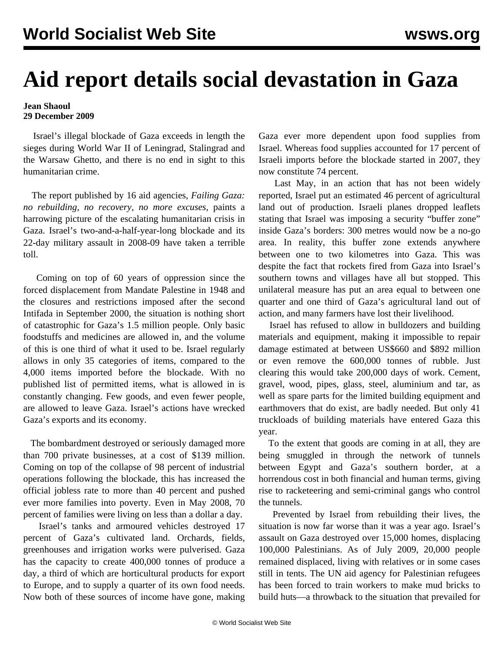## **Aid report details social devastation in Gaza**

## **Jean Shaoul 29 December 2009**

 Israel's illegal blockade of Gaza exceeds in length the sieges during World War II of Leningrad, Stalingrad and the Warsaw Ghetto, and there is no end in sight to this humanitarian crime.

 The report published by 16 aid agencies, *Failing Gaza: no rebuilding, no recovery, no more excuses,* paints a harrowing picture of the escalating humanitarian crisis in Gaza. Israel's two-and-a-half-year-long blockade and its 22-day military assault in 2008-09 have taken a terrible toll.

 Coming on top of 60 years of oppression since the forced displacement from Mandate Palestine in 1948 and the closures and restrictions imposed after the second Intifada in September 2000, the situation is nothing short of catastrophic for Gaza's 1.5 million people. Only basic foodstuffs and medicines are allowed in, and the volume of this is one third of what it used to be. Israel regularly allows in only 35 categories of items, compared to the 4,000 items imported before the blockade. With no published list of permitted items, what is allowed in is constantly changing. Few goods, and even fewer people, are allowed to leave Gaza. Israel's actions have wrecked Gaza's exports and its economy.

 The bombardment destroyed or seriously damaged more than 700 private businesses, at a cost of \$139 million. Coming on top of the collapse of 98 percent of industrial operations following the blockade, this has increased the official jobless rate to more than 40 percent and pushed ever more families into poverty. Even in May 2008, 70 percent of families were living on less than a dollar a day.

 Israel's tanks and armoured vehicles destroyed 17 percent of Gaza's cultivated land. Orchards, fields, greenhouses and irrigation works were pulverised. Gaza has the capacity to create 400,000 tonnes of produce a day, a third of which are horticultural products for export to Europe, and to supply a quarter of its own food needs. Now both of these sources of income have gone, making Gaza ever more dependent upon food supplies from Israel. Whereas food supplies accounted for 17 percent of Israeli imports before the blockade started in 2007, they now constitute 74 percent.

 Last May, in an action that has not been widely reported, Israel put an estimated 46 percent of agricultural land out of production. Israeli planes dropped leaflets stating that Israel was imposing a security "buffer zone" inside Gaza's borders: 300 metres would now be a no-go area. In reality, this buffer zone extends anywhere between one to two kilometres into Gaza. This was despite the fact that rockets fired from Gaza into Israel's southern towns and villages have all but stopped. This unilateral measure has put an area equal to between one quarter and one third of Gaza's agricultural land out of action, and many farmers have lost their livelihood.

 Israel has refused to allow in bulldozers and building materials and equipment, making it impossible to repair damage estimated at between US\$660 and \$892 million or even remove the 600,000 tonnes of rubble. Just clearing this would take 200,000 days of work. Cement, gravel, wood, pipes, glass, steel, aluminium and tar, as well as spare parts for the limited building equipment and earthmovers that do exist, are badly needed. But only 41 truckloads of building materials have entered Gaza this year.

 To the extent that goods are coming in at all, they are being smuggled in through the network of tunnels between Egypt and Gaza's southern border, at a horrendous cost in both financial and human terms, giving rise to racketeering and semi-criminal gangs who control the tunnels.

 Prevented by Israel from rebuilding their lives, the situation is now far worse than it was a year ago. Israel's assault on Gaza destroyed over 15,000 homes, displacing 100,000 Palestinians. As of July 2009, 20,000 people remained displaced, living with relatives or in some cases still in tents. The UN aid agency for Palestinian refugees has been forced to train workers to make mud bricks to build huts—a throwback to the situation that prevailed for